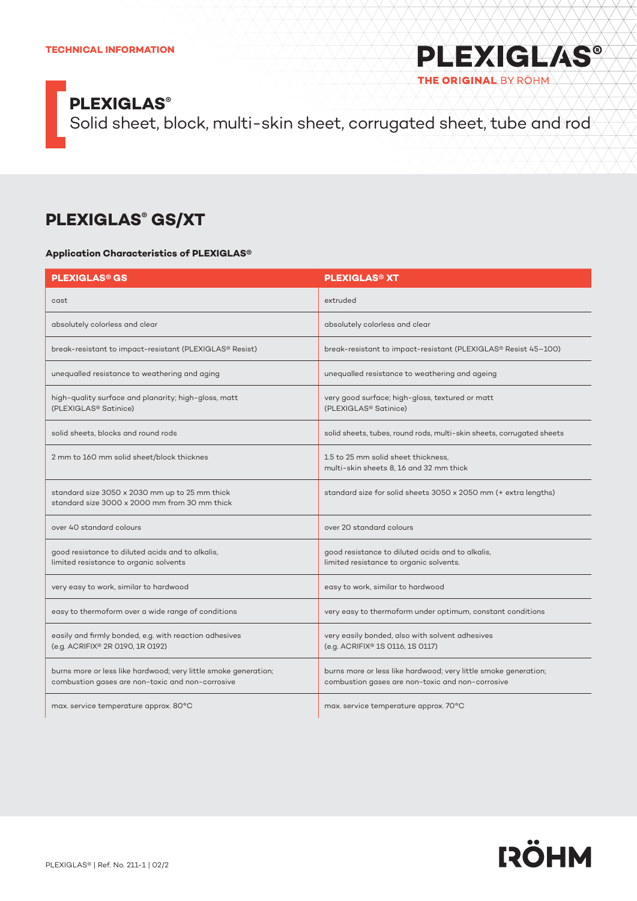Solid sheet, block, multi-skin sheet, corrugated sheet, tube and rod

### **PLEXIGLAS® GS/XT**

#### **Application Characteristics of PLEXIGLAS®**

| <b>PLEXIGLAS<sup>®</sup> GS</b>                                                                                     | <b>PLEXIGLAS<sup>®</sup> XT</b>                                                                                     |  |  |  |
|---------------------------------------------------------------------------------------------------------------------|---------------------------------------------------------------------------------------------------------------------|--|--|--|
| cast                                                                                                                | extruded                                                                                                            |  |  |  |
| absolutely colorless and clear                                                                                      | absolutely colorless and clear                                                                                      |  |  |  |
| break-resistant to impact-resistant (PLEXIGLAS® Resist)                                                             | break-resistant to impact-resistant (PLEXIGLAS® Resist 45-100)                                                      |  |  |  |
| unequalled resistance to weathering and aging                                                                       | unequalled resistance to weathering and ageing                                                                      |  |  |  |
| high-quality surface and planarity; high-gloss, matt<br>(PLEXIGLAS <sup>®</sup> Satinice)                           | very good surface; high-gloss, textured or matt<br>(PLEXIGLAS <sup>®</sup> Satinice)                                |  |  |  |
| solid sheets, blocks and round rods                                                                                 | solid sheets, tubes, round rods, multi-skin sheets, corrugated sheets                                               |  |  |  |
| 2 mm to 160 mm solid sheet/block thicknes                                                                           | 1.5 to 25 mm solid sheet thickness.<br>multi-skin sheets 8, 16 and 32 mm thick                                      |  |  |  |
| standard size 3050 x 2030 mm up to 25 mm thick<br>standard size 3000 x 2000 mm from 30 mm thick                     | standard size for solid sheets 3050 x 2050 mm (+ extra lengths)                                                     |  |  |  |
| over 40 standard colours                                                                                            | over 20 standard colours                                                                                            |  |  |  |
| good resistance to diluted acids and to alkalis,<br>limited resistance to organic solvents                          | good resistance to diluted acids and to alkalis,<br>limited resistance to organic solvents.                         |  |  |  |
| very easy to work, similar to hardwood                                                                              | easy to work, similar to hardwood                                                                                   |  |  |  |
| easy to thermoform over a wide range of conditions                                                                  | very easy to thermoform under optimum, constant conditions                                                          |  |  |  |
| easily and firmly bonded, e.g. with reaction adhesives<br>(e.g. ACRIFIX® 2R 0190, 1R 0192)                          | very easily bonded, also with solvent adhesives<br>(e.g. ACRIFIX® 1S 0116, 1S 0117)                                 |  |  |  |
| burns more or less like hardwood; very little smoke generation;<br>combustion gases are non-toxic and non-corrosive | burns more or less like hardwood; very little smoke generation;<br>combustion gases are non-toxic and non-corrosive |  |  |  |
| max. service temperature approx. 80°C                                                                               | max. service temperature approx. 70°C                                                                               |  |  |  |



**PLEXIGLAS®** 

THE ORIGINAL BY RÖHM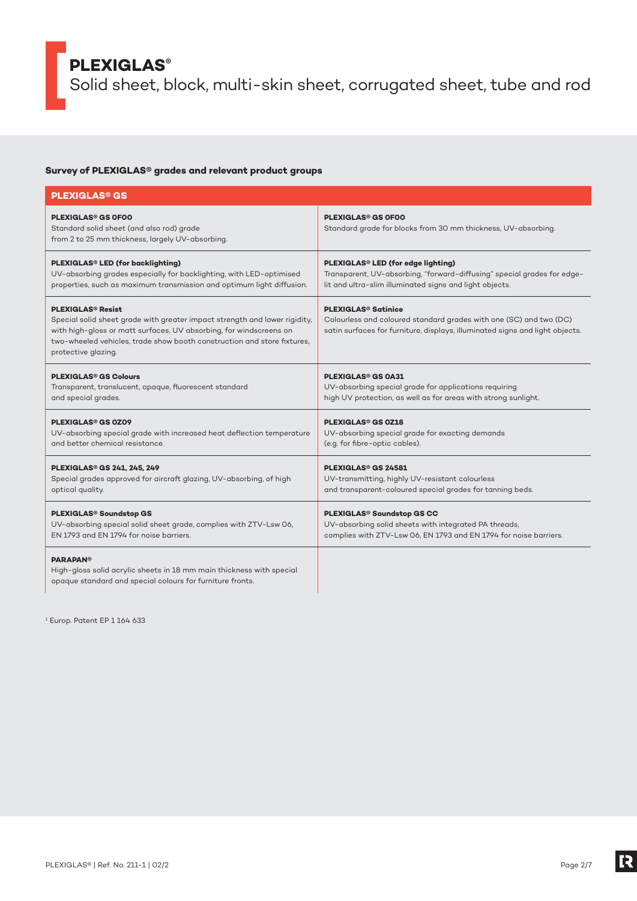Solid sheet, block, multi-skin sheet, corrugated sheet, tube and rod

#### **Survey of PLEXIGLAS® grades and relevant product groups**

| <b>PLEXIGLAS<sup>®</sup> GS</b>                                                                                                                                                                                                                                                           |                                                                                                                                                                                             |
|-------------------------------------------------------------------------------------------------------------------------------------------------------------------------------------------------------------------------------------------------------------------------------------------|---------------------------------------------------------------------------------------------------------------------------------------------------------------------------------------------|
| <b>PLEXIGLAS<sup>®</sup> GS OFOO</b><br>Standard solid sheet (and also rod) grade<br>from 2 to 25 mm thickness, largely UV-absorbing.                                                                                                                                                     | <b>PLEXIGLAS<sup>®</sup> GS OFOO</b><br>Standard grade for blocks from 30 mm thickness, UV-absorbing.                                                                                       |
| PLEXIGLAS® LED (for backlighting)                                                                                                                                                                                                                                                         | PLEXIGLAS <sup>®</sup> LED (for edge lighting)                                                                                                                                              |
| UV-absorbing grades especially for backlighting, with LED-optimised                                                                                                                                                                                                                       | Transparent, UV-absorbing, "forward-diffusing" special grades for edge-                                                                                                                     |
| properties, such as maximum transmission and optimum light diffusion.                                                                                                                                                                                                                     | lit and ultra-slim illuminated signs and light objects.                                                                                                                                     |
| <b>PLEXIGLAS<sup>®</sup> Resist</b><br>Special solid sheet grade with greater impact strength and lower rigidity,<br>with high-gloss or matt surfaces, UV absorbing, for windscreens on<br>two-wheeled vehicles, trade show booth construction and store fixtures,<br>protective glazing. | <b>PLEXIGLAS<sup>®</sup> Satinice</b><br>Colourless and coloured standard grades with one (SC) and two (DC)<br>satin surfaces for furniture, displays, illuminated signs and light objects. |
| <b>PLEXIGLAS<sup>®</sup> GS Colours</b>                                                                                                                                                                                                                                                   | <b>PLEXIGLAS<sup>®</sup> GS 0A31</b>                                                                                                                                                        |
| Transparent, translucent, opaque, fluorescent standard                                                                                                                                                                                                                                    | UV-absorbing special grade for applications requiring                                                                                                                                       |
| and special grades.                                                                                                                                                                                                                                                                       | high UV protection, as well as for areas with strong sunlight.                                                                                                                              |
| <b>PLEXIGLAS<sup>®</sup> GS 0Z09</b>                                                                                                                                                                                                                                                      | <b>PLEXIGLAS<sup>®</sup> GS 0Z18</b>                                                                                                                                                        |
| UV-absorbing special grade with increased heat deflection temperature                                                                                                                                                                                                                     | UV-absorbing special grade for exacting demands                                                                                                                                             |
| and better chemical resistance.                                                                                                                                                                                                                                                           | (e.g. for fibre-optic cables).                                                                                                                                                              |
| <b>PLEXIGLAS<sup>®</sup> GS 241, 245, 249</b>                                                                                                                                                                                                                                             | <b>PLEXIGLAS<sup>®</sup> GS 24581</b>                                                                                                                                                       |
| Special grades approved for aircraft glazing, UV-absorbing, of high                                                                                                                                                                                                                       | UV-transmitting, highly UV-resistant colourless                                                                                                                                             |
| optical quality.                                                                                                                                                                                                                                                                          | and transparent-coloured special grades for tanning beds.                                                                                                                                   |
| PLEXIGLAS <sup>®</sup> Soundstop GS                                                                                                                                                                                                                                                       | PLEXIGLAS <sup>®</sup> Soundstop GS CC                                                                                                                                                      |
| UV-absorbing special solid sheet grade, complies with ZTV-Lsw 06,                                                                                                                                                                                                                         | UV-absorbing solid sheets with integrated PA threads,                                                                                                                                       |
| EN 1793 and EN 1794 for noise barriers.                                                                                                                                                                                                                                                   | complies with ZTV-Lsw 06, EN 1793 and EN 1794 for noise barriers.                                                                                                                           |
| <b>PARAPAN<sup>®</sup></b><br>High-gloss solid acrylic sheets in 18 mm main thickness with special<br>opaque standard and special colours for furniture fronts.                                                                                                                           |                                                                                                                                                                                             |

1 Europ. Patent EP 1 164 633

E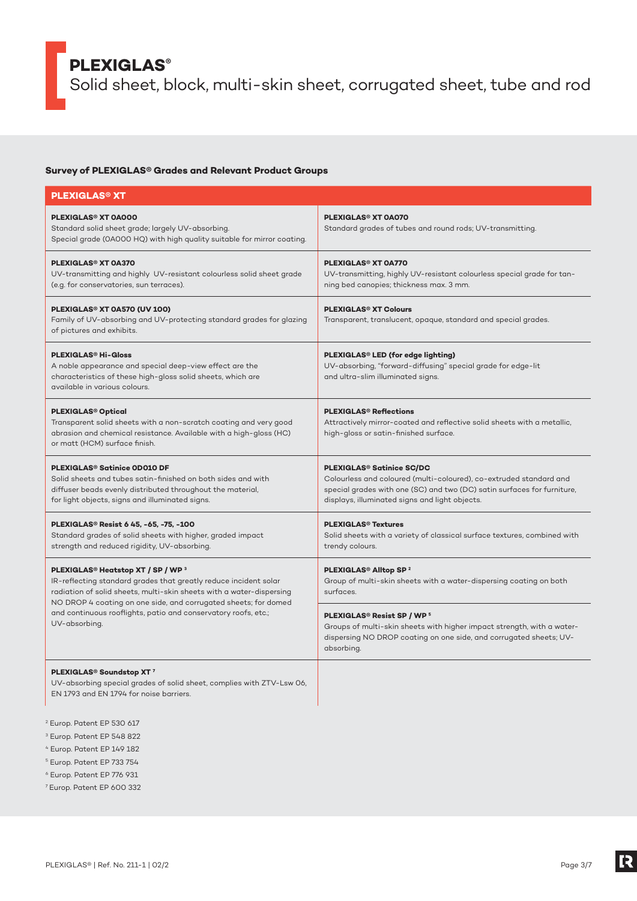Solid sheet, block, multi-skin sheet, corrugated sheet, tube and rod

#### **Survey of PLEXIGLAS® Grades and Relevant Product Groups**

| <b>PLEXIGLAS® XT</b>                                                                                                                                                                                                                                                     |                                                                                                                                                                                                                                                |
|--------------------------------------------------------------------------------------------------------------------------------------------------------------------------------------------------------------------------------------------------------------------------|------------------------------------------------------------------------------------------------------------------------------------------------------------------------------------------------------------------------------------------------|
| <b>PLEXIGLAS<sup>®</sup> XT 0A000</b><br>Standard solid sheet grade; largely UV-absorbing.<br>Special grade (0A000 HQ) with high quality suitable for mirror coating.                                                                                                    | <b>PLEXIGLAS<sup>®</sup> XT 0A070</b><br>Standard grades of tubes and round rods; UV-transmitting.                                                                                                                                             |
| <b>PLEXIGLAS<sup>®</sup> XT 0A370</b><br>UV-transmitting and highly UV-resistant colourless solid sheet grade<br>(e.g. for conservatories, sun terraces).                                                                                                                | <b>PLEXIGLAS<sup>®</sup> XT 0A770</b><br>UV-transmitting, highly UV-resistant colourless special grade for tan-<br>ning bed canopies; thickness max. 3 mm.                                                                                     |
| PLEXIGLAS <sup>®</sup> XT 0A570 (UV 100)<br>Family of UV-absorbing and UV-protecting standard grades for glazing<br>of pictures and exhibits.                                                                                                                            | <b>PLEXIGLAS<sup>®</sup> XT Colours</b><br>Transparent, translucent, opaque, standard and special grades.                                                                                                                                      |
| <b>PLEXIGLAS<sup>®</sup> Hi-Gloss</b><br>A noble appearance and special deep-view effect are the<br>characteristics of these high-gloss solid sheets, which are<br>available in various colours.                                                                         | PLEXIGLAS <sup>®</sup> LED (for edge lighting)<br>UV-absorbing, "forward-diffusing" special grade for edge-lit<br>and ultra-slim illuminated signs.                                                                                            |
| <b>PLEXIGLAS<sup>®</sup> Optical</b><br>Transparent solid sheets with a non-scratch coating and very good<br>abrasion and chemical resistance. Available with a high-gloss (HC)<br>or matt (HCM) surface finish.                                                         | <b>PLEXIGLAS<sup>®</sup> Reflections</b><br>Attractively mirror-coated and reflective solid sheets with a metallic,<br>high-gloss or satin-finished surface.                                                                                   |
| <b>PLEXIGLAS<sup>®</sup> Satinice OD010 DF</b><br>Solid sheets and tubes satin-finished on both sides and with<br>diffuser beads evenly distributed throughout the material,<br>for light objects, signs and illuminated signs.                                          | <b>PLEXIGLAS<sup>®</sup> Satinice SC/DC</b><br>Colourless and coloured (multi-coloured), co-extruded standard and<br>special grades with one (SC) and two (DC) satin surfaces for furniture,<br>displays, illuminated signs and light objects. |
| PLEXIGLAS <sup>®</sup> Resist 6 45, -65, -75, -100<br>Standard grades of solid sheets with higher, graded impact<br>strength and reduced rigidity, UV-absorbing.                                                                                                         | <b>PLEXIGLAS<sup>®</sup> Textures</b><br>Solid sheets with a variety of classical surface textures, combined with<br>trendy colours.                                                                                                           |
| PLEXIGLAS <sup>®</sup> Heatstop XT / SP / WP <sup>3</sup><br>IR-reflecting standard grades that greatly reduce incident solar<br>radiation of solid sheets, multi-skin sheets with a water-dispersing<br>NO DROP 4 coating on one side, and corrugated sheets; for domed | PLEXIGLAS <sup>®</sup> Alltop SP <sup>2</sup><br>Group of multi-skin sheets with a water-dispersing coating on both<br>surfaces.                                                                                                               |
| and continuous rooflights, patio and conservatory roofs, etc.;<br>UV-absorbing.                                                                                                                                                                                          | <b>PLEXIGLAS<sup>®</sup> Resist SP / WP<sup>5</sup></b><br>Groups of multi-skin sheets with higher impact strength, with a water-<br>dispersing NO DROP coating on one side, and corrugated sheets; UV-<br>absorbing.                          |
| PLEXIGLAS <sup>®</sup> Soundstop XT <sup>7</sup><br>UV-absorbing special grades of solid sheet, complies with ZTV-Lsw 06,<br>EN 1793 and EN 1794 for noise barriers.                                                                                                     |                                                                                                                                                                                                                                                |
| Europ. Patent EP 530 617                                                                                                                                                                                                                                                 |                                                                                                                                                                                                                                                |

- 3 Europ. Patent EP 548 822
- 4 Europ. Patent EP 149 182
- 5 Europ. Patent EP 733 754
- 6 Europ. Patent EP 776 931
- 7 Europ. Patent EP 600 332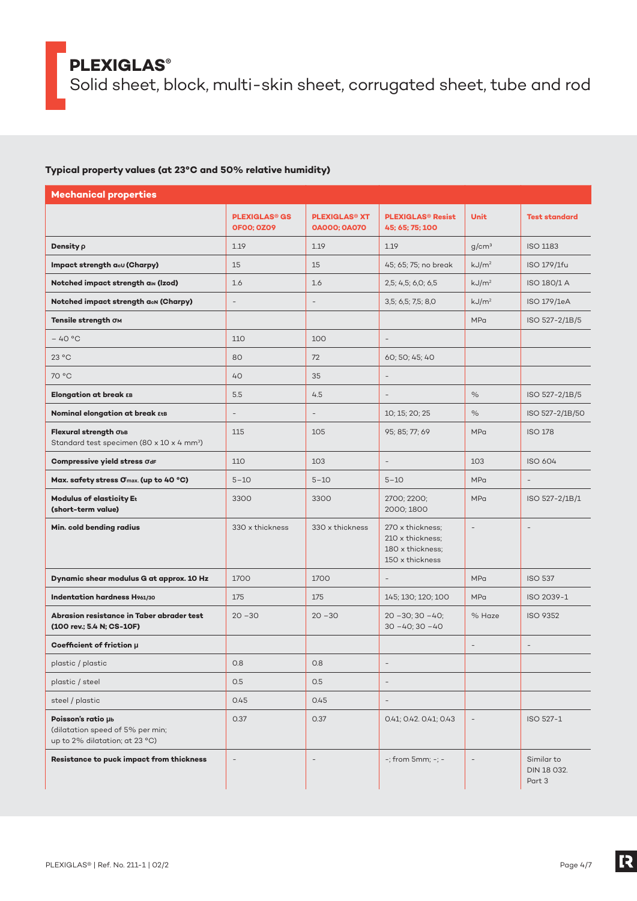Solid sheet, block, multi-skin sheet, corrugated sheet, tube and rod

#### **Typical property values (at 23°C and 50% relative humidity)**

| <b>Mechanical properties</b>                                                             |                                                      |                                                        |                                                                             |                          |                                     |
|------------------------------------------------------------------------------------------|------------------------------------------------------|--------------------------------------------------------|-----------------------------------------------------------------------------|--------------------------|-------------------------------------|
|                                                                                          | <b>PLEXIGLAS<sup>®</sup> GS</b><br><b>OFOO: 0Z09</b> | <b>PLEXIGLAS<sup>®</sup> XT</b><br><b>OAOOO; OAO7O</b> | <b>PLEXIGLAS<sup>®</sup> Resist</b><br>45; 65; 75; 100                      | <b>Unit</b>              | <b>Test standard</b>                |
| Density p                                                                                | 1.19                                                 | 1.19                                                   | 1.19                                                                        | g/cm <sup>3</sup>        | <b>ISO 1183</b>                     |
| Impact strength acu (Charpy)                                                             | 15                                                   | 15                                                     | 45; 65; 75; no break                                                        | kJ/m <sup>2</sup>        | ISO 179/1fu                         |
| Notched impact strength ain (Izod)                                                       | 1.6                                                  | 1.6                                                    | 2,5; 4,5; 6,0; 6,5                                                          | kJ/m <sup>2</sup>        | ISO 180/1 A                         |
| Notched impact strength acn (Charpy)                                                     | $\overline{\phantom{a}}$                             | $\overline{\phantom{a}}$                               | 3,5; 6,5; 7,5; 8,0                                                          | kJ/m <sup>2</sup>        | ISO 179/1eA                         |
| Tensile strength OM                                                                      |                                                      |                                                        |                                                                             | <b>MPa</b>               | ISO 527-2/1B/5                      |
| $-40 °C$                                                                                 | 110                                                  | 100                                                    | $\overline{\phantom{a}}$                                                    |                          |                                     |
| 23 °C                                                                                    | 80                                                   | 72                                                     | 60; 50; 45; 40                                                              |                          |                                     |
| 70 °C                                                                                    | 40                                                   | 35                                                     |                                                                             |                          |                                     |
| Elongation at break EB                                                                   | 5.5                                                  | 4.5                                                    |                                                                             | $\%$                     | ISO 527-2/1B/5                      |
| <b>Nominal elongation at break ετε</b>                                                   | $\qquad \qquad -$                                    |                                                        | 10; 15; 20; 25                                                              | %                        | ISO 527-2/1B/50                     |
| Flexural strength ObB<br>Standard test specimen (80 x 10 x 4 mm <sup>3</sup> )           | 115                                                  | 105                                                    | 95; 85; 77; 69                                                              | <b>MPa</b>               | <b>ISO 178</b>                      |
| Compressive yield stress OdF                                                             | 110                                                  | 103                                                    |                                                                             | 103                      | ISO 604                             |
| Max. safety stress Omax. (up to 40 °C)                                                   | $5 - 10$                                             | $5 - 10$                                               | $5 - 10$                                                                    | <b>MPa</b>               | $\overline{\phantom{a}}$            |
| <b>Modulus of elasticity Et</b><br>(short-term value)                                    | 3300                                                 | 3300                                                   | 2700; 2200;<br>2000; 1800                                                   | <b>MPa</b>               | ISO 527-2/1B/1                      |
| Min. cold bending radius                                                                 | 330 x thickness                                      | 330 x thickness                                        | 270 x thickness;<br>210 x thickness;<br>180 x thickness;<br>150 x thickness | $\overline{\phantom{m}}$ |                                     |
| Dynamic shear modulus G at approx. 10 Hz                                                 | 1700                                                 | 1700                                                   |                                                                             | <b>MPa</b>               | <b>ISO 537</b>                      |
| <b>Indentation hardness H961/30</b>                                                      | 175                                                  | 175                                                    | 145; 130; 120; 100                                                          | <b>MPa</b>               | ISO 2039-1                          |
| Abrasion resistance in Taber abrader test<br>(100 rev.; 5.4 N; CS-10F)                   | $20 - 30$                                            | $20 - 30$                                              | $20 - 30$ ; $30 - 40$ ;<br>$30 - 40$ ; $30 - 40$                            | % Haze                   | <b>ISO 9352</b>                     |
| Coefficient of friction µ                                                                |                                                      |                                                        |                                                                             |                          |                                     |
| plastic / plastic                                                                        | 0.8                                                  | 0.8                                                    |                                                                             |                          |                                     |
| plastic / steel                                                                          | 0.5                                                  | 0.5                                                    | $\overline{\phantom{a}}$                                                    |                          |                                     |
| steel / plastic                                                                          | 0.45                                                 | 0.45                                                   | $\overline{\phantom{a}}$                                                    |                          |                                     |
| Poisson's ratio µb<br>(dilatation speed of 5% per min;<br>up to 2% dilatation; at 23 °C) | 0.37                                                 | 0.37                                                   | 0.41; 0.42. 0.41; 0.43                                                      | $\overline{\phantom{a}}$ | ISO 527-1                           |
| Resistance to puck impact from thickness                                                 | $\overline{a}$                                       | $\overline{\phantom{a}}$                               | -; from 5mm; -; -                                                           | $\overline{\phantom{m}}$ | Similar to<br>DIN 18 032.<br>Part 3 |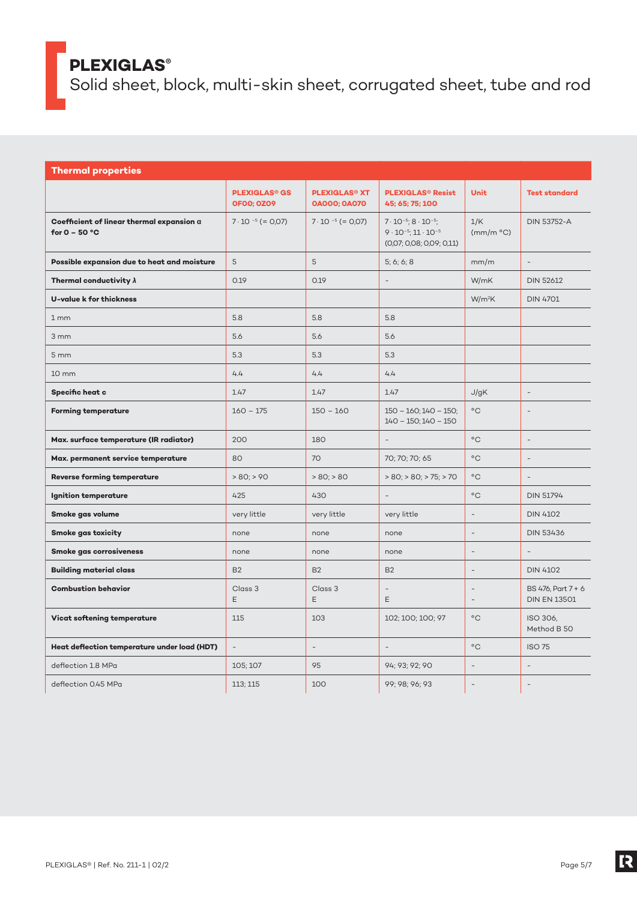Solid sheet, block, multi-skin sheet, corrugated sheet, tube and rod

| <b>Thermal properties</b>                                           |                                                      |                                                        |                                                                                                               |                          |                                           |
|---------------------------------------------------------------------|------------------------------------------------------|--------------------------------------------------------|---------------------------------------------------------------------------------------------------------------|--------------------------|-------------------------------------------|
|                                                                     | <b>PLEXIGLAS<sup>®</sup> GS</b><br><b>OFOO; OZO9</b> | <b>PLEXIGLAS<sup>®</sup> XT</b><br><b>0A000; 0A070</b> | <b>PLEXIGLAS<sup>®</sup> Resist</b><br>45; 65; 75; 100                                                        | <b>Unit</b>              | <b>Test standard</b>                      |
| Coefficient of linear thermal expansion $\alpha$<br>for $0 - 50$ °C | $7 \cdot 10^{-5}$ (= 0.07)                           | $7 \cdot 10^{-5}$ (= 0.07)                             | $7 \cdot 10^{-5}$ ; 8 $\cdot 10^{-5}$ ;<br>$9 \cdot 10^{-5}$ ; $11 \cdot 10^{-5}$<br>(0,07; 0,08; 0,09; 0,11) | 1/K<br>(mm/m °C)         | <b>DIN 53752-A</b>                        |
| Possible expansion due to heat and moisture                         | 5                                                    | 5                                                      | 5; 6; 6; 8                                                                                                    | mm/m                     | $\overline{a}$                            |
| Thermal conductivity $\lambda$                                      | 0.19                                                 | 0.19                                                   |                                                                                                               | W/mK                     | <b>DIN 52612</b>                          |
| <b>U-value k for thickness</b>                                      |                                                      |                                                        |                                                                                                               | $W/m^2K$                 | <b>DIN 4701</b>                           |
| 1 <sub>mm</sub>                                                     | 5.8                                                  | 5.8                                                    | 5.8                                                                                                           |                          |                                           |
| 3mm                                                                 | 5.6                                                  | 5.6                                                    | 5.6                                                                                                           |                          |                                           |
| 5 <sub>mm</sub>                                                     | 5.3                                                  | 5.3                                                    | 5.3                                                                                                           |                          |                                           |
| $10 \, \text{mm}$                                                   | 4.4                                                  | 4.4                                                    | 4.4                                                                                                           |                          |                                           |
| Specific heat c                                                     | 1.47                                                 | 1.47                                                   | 1.47                                                                                                          | J/gK                     | $\overline{a}$                            |
| <b>Forming temperature</b>                                          | $160 - 175$                                          | $150 - 160$                                            | $150 - 160$ ; $140 - 150$ ;<br>$140 - 150$ ; $140 - 150$                                                      | $^{\circ}$ C             | $\overline{\phantom{a}}$                  |
| Max. surface temperature (IR radiator)                              | 200                                                  | 180                                                    |                                                                                                               | $^{\circ}$ C             | $\overline{a}$                            |
| Max. permanent service temperature                                  | 80                                                   | 70                                                     | 70; 70; 70; 65                                                                                                | $^{\circ}$ C             | $\equiv$                                  |
| <b>Reverse forming temperature</b>                                  | $> 80$ ; $> 90$                                      | $> 80$ ; $> 80$                                        | $> 80$ ; $> 80$ ; $> 75$ ; $> 70$                                                                             | $^{\circ} \text{C}$      |                                           |
| Ignition temperature                                                | 425                                                  | 430                                                    |                                                                                                               | $^{\circ}$ C             | <b>DIN 51794</b>                          |
| Smoke gas volume                                                    | very little                                          | very little                                            | very little                                                                                                   | $\overline{\phantom{a}}$ | <b>DIN 4102</b>                           |
| <b>Smoke gas toxicity</b>                                           | none                                                 | none                                                   | none                                                                                                          |                          | <b>DIN 53436</b>                          |
| <b>Smoke gas corrosiveness</b>                                      | none                                                 | none                                                   | none                                                                                                          |                          |                                           |
| <b>Building material class</b>                                      | <b>B2</b>                                            | <b>B2</b>                                              | <b>B2</b>                                                                                                     | $\overline{\phantom{a}}$ | <b>DIN 4102</b>                           |
| <b>Combustion behavior</b>                                          | Class 3<br>E                                         | Class 3<br>E                                           | $\overline{\phantom{a}}$<br>E                                                                                 | $\overline{\phantom{a}}$ | BS 476, Part 7 + 6<br><b>DIN EN 13501</b> |
| Vicat softening temperature                                         | 115                                                  | 103                                                    | 102; 100; 100; 97                                                                                             | $^{\circ}$ C             | ISO 306,<br>Method B 50                   |
| Heat deflection temperature under load (HDT)                        | $\overline{\phantom{a}}$                             | $\overline{\phantom{a}}$                               | $\overline{\phantom{a}}$                                                                                      | $^{\circ}$ C             | <b>ISO 75</b>                             |
| deflection 1.8 MPa                                                  | 105; 107                                             | 95                                                     | 94; 93; 92; 90                                                                                                | ÷                        | $\overline{a}$                            |
| deflection 0.45 MPa                                                 | 113; 115                                             | 100                                                    | 99; 98; 96; 93                                                                                                | $\overline{\phantom{a}}$ | $\overline{\phantom{a}}$                  |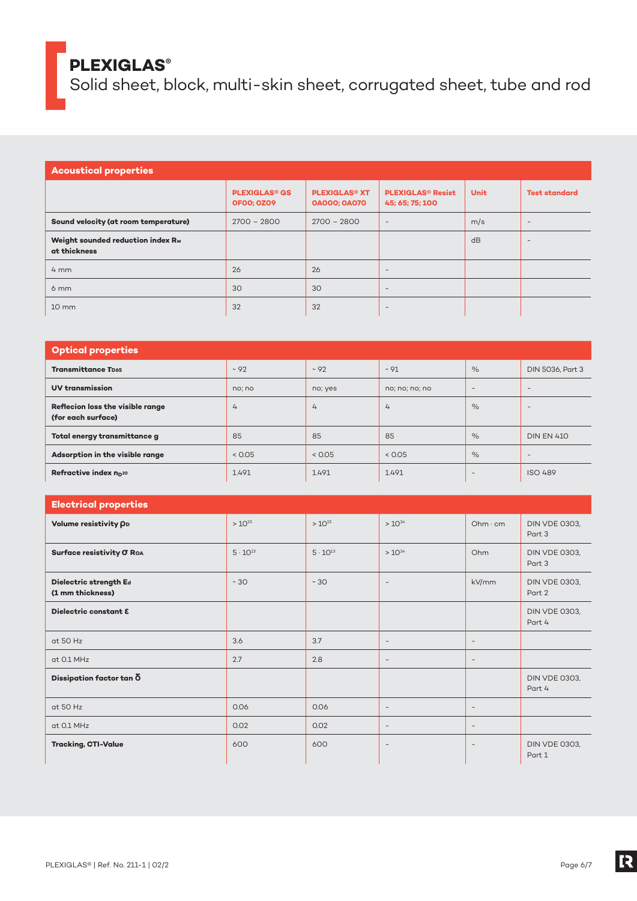Solid sheet, block, multi-skin sheet, corrugated sheet, tube and rod

| <b>Acoustical properties</b>                      |                                                      |                                                        |                                                        |             |                          |
|---------------------------------------------------|------------------------------------------------------|--------------------------------------------------------|--------------------------------------------------------|-------------|--------------------------|
|                                                   | <b>PLEXIGLAS<sup>®</sup> GS</b><br><b>OFOO: 0Z09</b> | <b>PLEXIGLAS<sup>®</sup> XT</b><br><b>OAOOO; OAO7O</b> | <b>PLEXIGLAS<sup>®</sup> Resist</b><br>45; 65; 75; 100 | <b>Unit</b> | <b>Test standard</b>     |
| Sound velocity (at room temperature)              | $2700 - 2800$                                        | $2700 - 2800$                                          | $\overline{\phantom{a}}$                               | m/s         | $\qquad \qquad -$        |
| Weight sounded reduction index Rw<br>at thickness |                                                      |                                                        |                                                        | dB          | $\overline{\phantom{a}}$ |
| $4 \, \text{mm}$                                  | 26                                                   | 26                                                     | $\overline{\phantom{a}}$                               |             |                          |
| 6 <sub>mm</sub>                                   | 30                                                   | 30                                                     | $\overline{\phantom{a}}$                               |             |                          |
| $10 \, \text{mm}$                                 | 32                                                   | 32                                                     | $\overline{\phantom{a}}$                               |             |                          |

| <b>Optical properties</b>                              |                |           |                |                          |                   |
|--------------------------------------------------------|----------------|-----------|----------------|--------------------------|-------------------|
| <b>Transmittance TD65</b>                              | $~10-92$       | $~10^{2}$ | $~10 - 91$     | $\%$                     | DIN 5036, Part 3  |
| <b>UV transmission</b>                                 | no; no         | no; yes   | no; no; no; no | $\qquad \qquad =$        | $\qquad \qquad -$ |
| Reflecion loss the visible range<br>(for each surface) | $\overline{4}$ | 4         | $\overline{4}$ | $\%$                     | $\qquad \qquad =$ |
| Total energy transmittance g                           | 85             | 85        | 85             | $\%$                     | <b>DIN EN 410</b> |
| Adsorption in the visible range                        | < 0.05         | < 0.05    | < 0.05         | $\%$                     | $\qquad \qquad =$ |
| Refractive index n <sub>D20</sub>                      | 1.491          | 1.491     | 1.491          | $\overline{\phantom{a}}$ | <b>ISO 489</b>    |

| <b>Electrical properties</b>               |                   |                   |                          |                          |                                |
|--------------------------------------------|-------------------|-------------------|--------------------------|--------------------------|--------------------------------|
| Volume resistivity OD                      | $> 10^{15}$       | $> 10^{15}$       | $> 10^{14}$              | Ohm·cm                   | <b>DIN VDE 0303,</b><br>Part 3 |
| Surface resistivity O Roa                  | $5 \cdot 10^{13}$ | $5 \cdot 10^{13}$ | $> 10^{14}$              | Ohm                      | <b>DIN VDE 0303,</b><br>Part 3 |
| Dielectric strength Ed<br>(1 mm thickness) | $~10^{-1}$        | ~10               | $\overline{\phantom{a}}$ | kV/mm                    | <b>DIN VDE 0303,</b><br>Part 2 |
| Dielectric constant E                      |                   |                   |                          |                          | <b>DIN VDE 0303,</b><br>Part 4 |
| at 50 Hz                                   | 3.6               | 3.7               | $\overline{\phantom{a}}$ | $\overline{\phantom{a}}$ |                                |
| at 0.1 MHz                                 | 2.7               | 2.8               | $\overline{\phantom{a}}$ | $\overline{\phantom{a}}$ |                                |
| Dissipation factor tan $\delta$            |                   |                   |                          |                          | <b>DIN VDE 0303,</b><br>Part 4 |
| at 50 Hz                                   | 0.06              | 0.06              | $\overline{\phantom{a}}$ | $\overline{\phantom{a}}$ |                                |
| at 0.1 MHz                                 | 0.02              | 0.02              | $\overline{\phantom{a}}$ | $\overline{\phantom{a}}$ |                                |
| <b>Tracking, CTI-Value</b>                 | 600               | 600               | $\overline{\phantom{a}}$ | $\overline{\phantom{a}}$ | <b>DIN VDE 0303,</b><br>Part 1 |

R